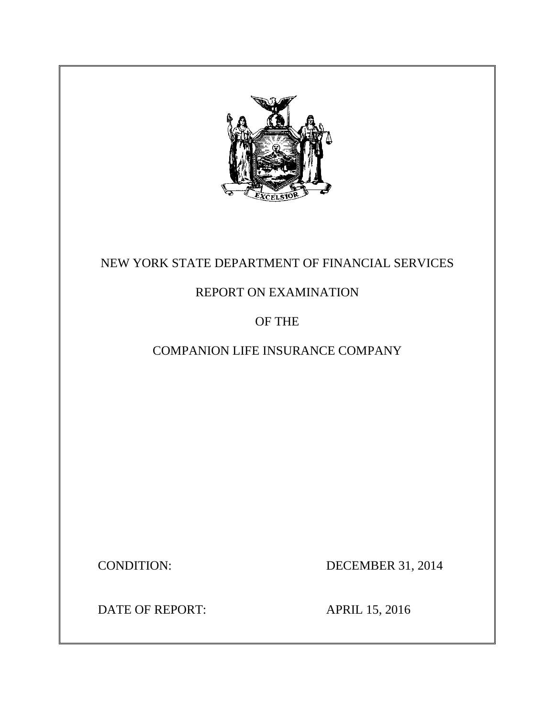

# NEW YORK STATE DEPARTMENT OF FINANCIAL SERVICES

# REPORT ON EXAMINATION

# OF THE

# COMPANION LIFE INSURANCE COMPANY

**CONDITION:** 

DECEMBER 31, 2014

DATE OF REPORT: APRIL 15, 2016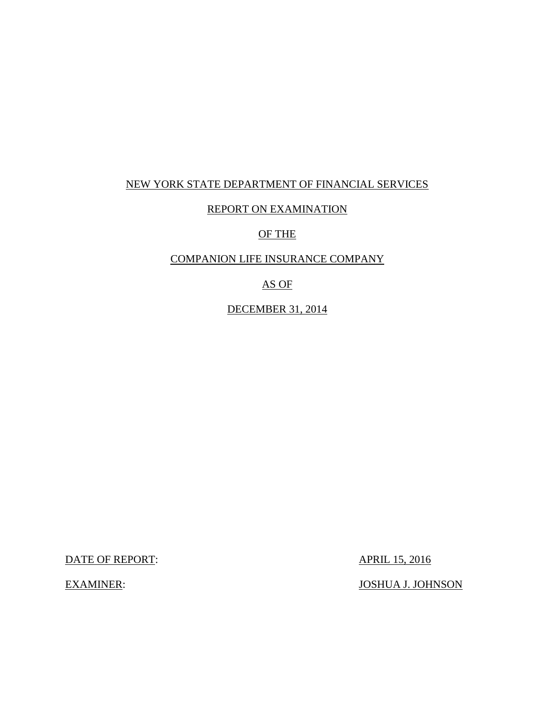## NEW YORK STATE DEPARTMENT OF FINANCIAL SERVICES

## REPORT ON EXAMINATION

## OF THE

### COMPANION LIFE INSURANCE COMPANY

# AS OF

### DECEMBER 31, 2014

DATE OF REPORT: APRIL 15, 2016

**EXAMINER:** 

**JOSHUA J. JOHNSON**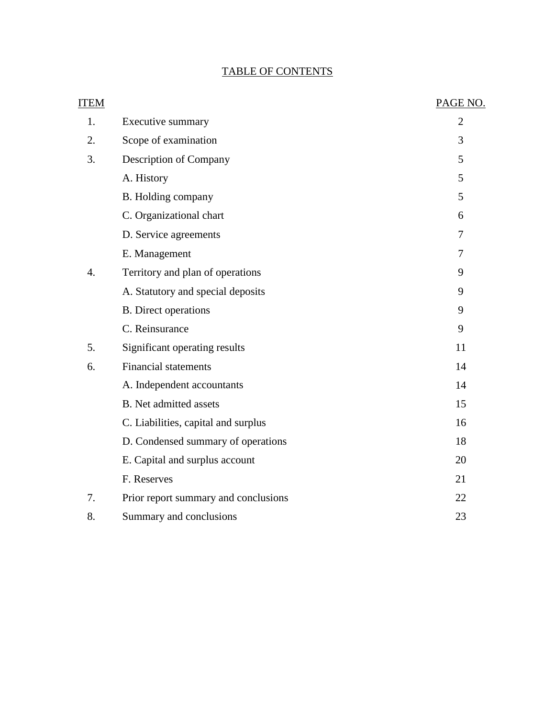# TABLE OF CONTENTS

| <b>ITEM</b> |                                      | PAGE NO.       |
|-------------|--------------------------------------|----------------|
| 1.          | Executive summary                    | $\overline{2}$ |
| 2.          | Scope of examination                 | 3              |
| 3.          | Description of Company               | 5              |
|             | A. History                           | 5              |
|             | B. Holding company                   | 5              |
|             | C. Organizational chart              | 6              |
|             | D. Service agreements                | 7              |
|             | E. Management                        | 7              |
| 4.          | Territory and plan of operations     | 9              |
|             | A. Statutory and special deposits    | 9              |
|             | <b>B.</b> Direct operations          | 9              |
|             | C. Reinsurance                       | 9              |
| 5.          | Significant operating results        | 11             |
| 6.          | <b>Financial statements</b>          | 14             |
|             | A. Independent accountants           | 14             |
|             | <b>B.</b> Net admitted assets        | 15             |
|             | C. Liabilities, capital and surplus  | 16             |
|             | D. Condensed summary of operations   | 18             |
|             | E. Capital and surplus account       | 20             |
|             | F. Reserves                          | 21             |
| 7.          | Prior report summary and conclusions | 22             |
| 8.          | Summary and conclusions              | 23             |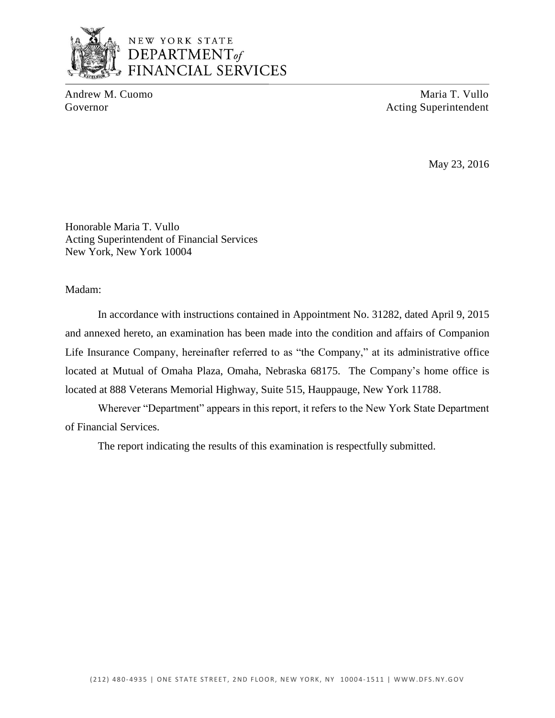

# NEW YORK STATE DEPARTMENT<sub>of</sub> **FINANCIAL SERVICES**

Andrew M. Cuomo Maria T. Vullo Governor Acting Superintendent

May 23, 2016

Honorable Maria T. Vullo Acting Superintendent of Financial Services New York, New York 10004

Madam:

 and annexed hereto, an examination has been made into the condition and affairs of Companion Life Insurance Company, hereinafter referred to as "the Company," at its administrative office located at Mutual of Omaha Plaza, Omaha, Nebraska 68175. The Company's home office is In accordance with instructions contained in Appointment No. 31282, dated April 9, 2015 located at 888 Veterans Memorial Highway, Suite 515, Hauppauge, New York 11788.

 Wherever "Department" appears in this report, it refers to the New York State Department of Financial Services.

The report indicating the results of this examination is respectfully submitted.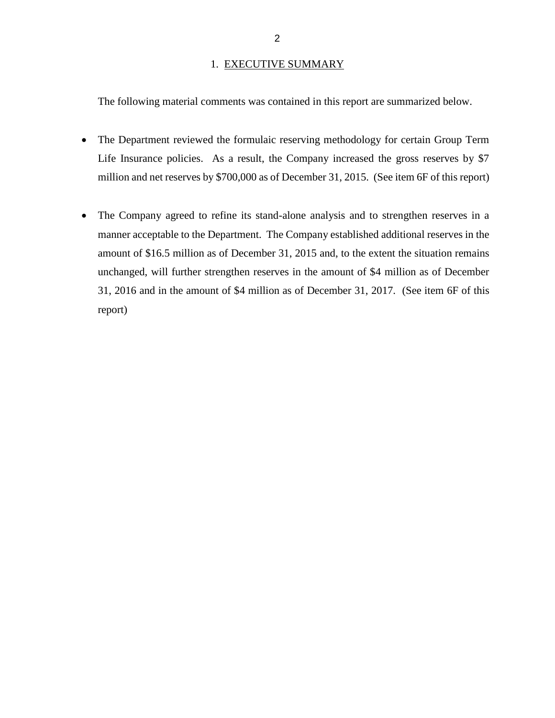#### 1. EXECUTIVE SUMMARY

The following material comments was contained in this report are summarized below.

- The Department reviewed the formulaic reserving methodology for certain Group Term Life Insurance policies. As a result, the Company increased the gross reserves by \$7 million and net reserves by \$700,000 as of December 31, 2015. (See item 6F of this report)
- The Company agreed to refine its stand-alone analysis and to strengthen reserves in a manner acceptable to the Department. The Company established additional reserves in the amount of \$16.5 million as of December 31, 2015 and, to the extent the situation remains unchanged, will further strengthen reserves in the amount of \$4 million as of December 31, 2016 and in the amount of \$4 million as of December 31, 2017. (See item 6F of this report)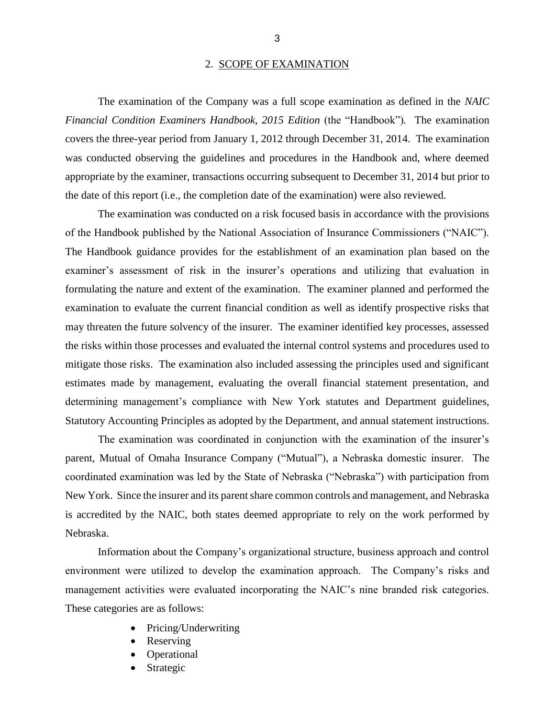#### 2. SCOPE OF EXAMINATION

*Financial Condition Examiners Handbook, 2015 Edition* (the "Handbook"). The examination covers the three-year period from January 1, 2012 through December 31, 2014. The examination was conducted observing the guidelines and procedures in the Handbook and, where deemed appropriate by the examiner, transactions occurring subsequent to December 31, 2014 but prior to The examination of the Company was a full scope examination as defined in the *NAIC*  the date of this report (i.e., the completion date of the examination) were also reviewed.

 examiner's assessment of risk in the insurer's operations and utilizing that evaluation in formulating the nature and extent of the examination. The examiner planned and performed the examination to evaluate the current financial condition as well as identify prospective risks that may threaten the future solvency of the insurer. The examiner identified key processes, assessed mitigate those risks. The examination also included assessing the principles used and significant estimates made by management, evaluating the overall financial statement presentation, and Statutory Accounting Principles as adopted by the Department, and annual statement instructions. The examination was conducted on a risk focused basis in accordance with the provisions of the Handbook published by the National Association of Insurance Commissioners ("NAIC"). The Handbook guidance provides for the establishment of an examination plan based on the the risks within those processes and evaluated the internal control systems and procedures used to determining management's compliance with New York statutes and Department guidelines,

 parent, Mutual of Omaha Insurance Company ("Mutual"), a Nebraska domestic insurer. The coordinated examination was led by the State of Nebraska ("Nebraska") with participation from New York. Since the insurer and its parent share common controls and management, and Nebraska is accredited by the NAIC, both states deemed appropriate to rely on the work performed by The examination was coordinated in conjunction with the examination of the insurer's Nebraska.

 environment were utilized to develop the examination approach. The Company's risks and management activities were evaluated incorporating the NAIC's nine branded risk categories. These categories are as follows: Information about the Company's organizational structure, business approach and control

- Pricing/Underwriting
- Reserving
- Operational
- Strategic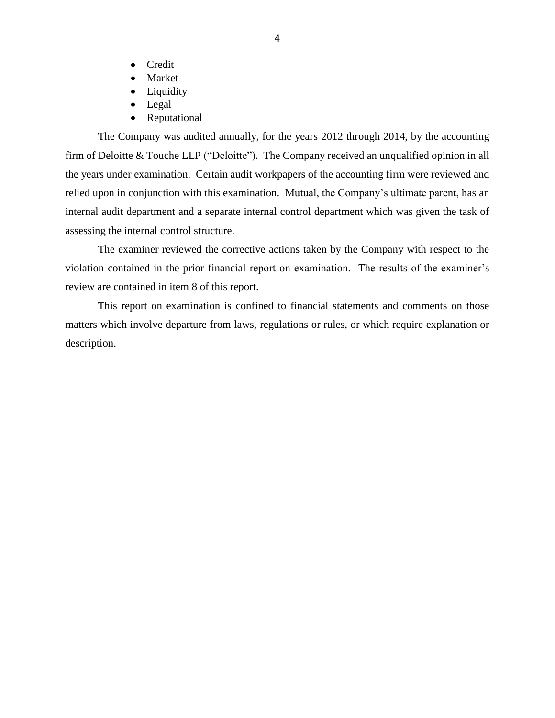- Credit
- Market
- Liquidity
- Legal
- Reputational

 The Company was audited annually, for the years 2012 through 2014, by the accounting firm of Deloitte & Touche LLP ("Deloitte"). The Company received an unqualified opinion in all the years under examination. Certain audit workpapers of the accounting firm were reviewed and internal audit department and a separate internal control department which was given the task of assessing the internal control structure. relied upon in conjunction with this examination. Mutual, the Company's ultimate parent, has an

 violation contained in the prior financial report on examination. The results of the examiner's The examiner reviewed the corrective actions taken by the Company with respect to the review are contained in item 8 of this report.

 matters which involve departure from laws, regulations or rules, or which require explanation or This report on examination is confined to financial statements and comments on those description.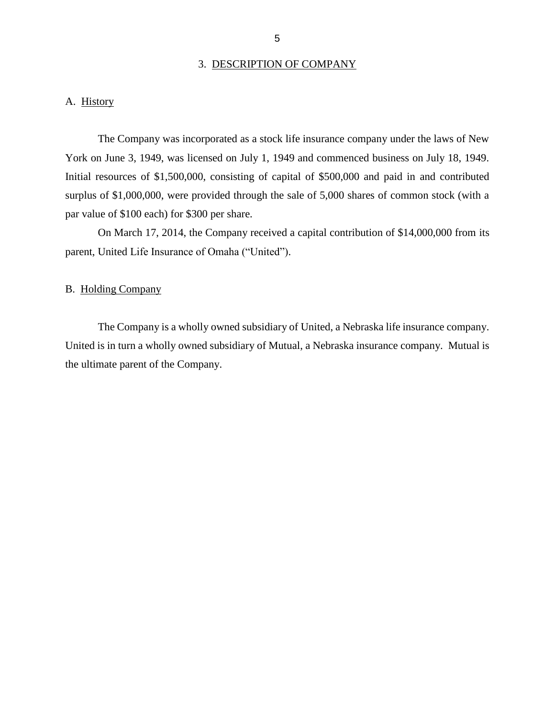#### 3. DESCRIPTION OF COMPANY

## <span id="page-7-0"></span>A. History

 The Company was incorporated as a stock life insurance company under the laws of New York on June 3, 1949, was licensed on July 1, 1949 and commenced business on July 18, 1949. surplus of \$1,000,000, were provided through the sale of 5,000 shares of common stock (with a par value of \$100 each) for \$300 per share. par value of \$100 each) for \$300 per share.<br>On March 17, 2014, the Company received a capital contribution of \$14,000,000 from its Initial resources of \$1,500,000, consisting of capital of \$500,000 and paid in and contributed

parent, United Life Insurance of Omaha ("United").

### B. Holding Company

 The Company is a wholly owned subsidiary of United, a Nebraska life insurance company. United is in turn a wholly owned subsidiary of Mutual, a Nebraska insurance company. Mutual is the ultimate parent of the Company.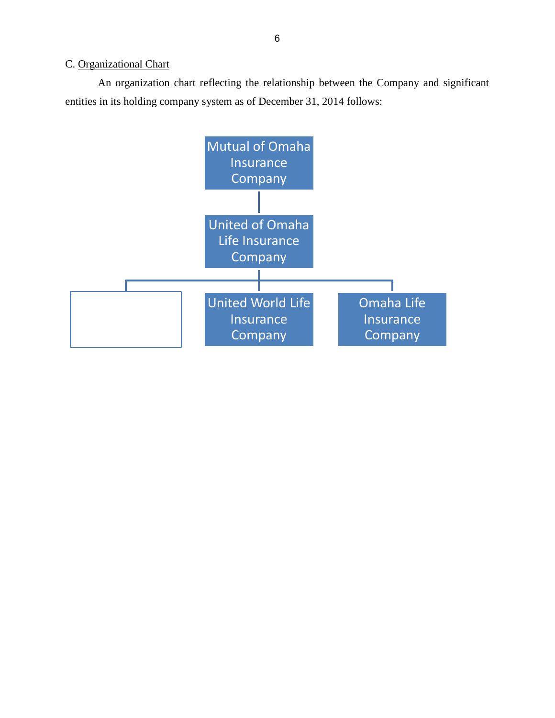## <span id="page-8-0"></span>C. Organizational Chart

An organization chart reflecting the relationship between the Company and significant entities in its holding company system as of December 31, 2014 follows:

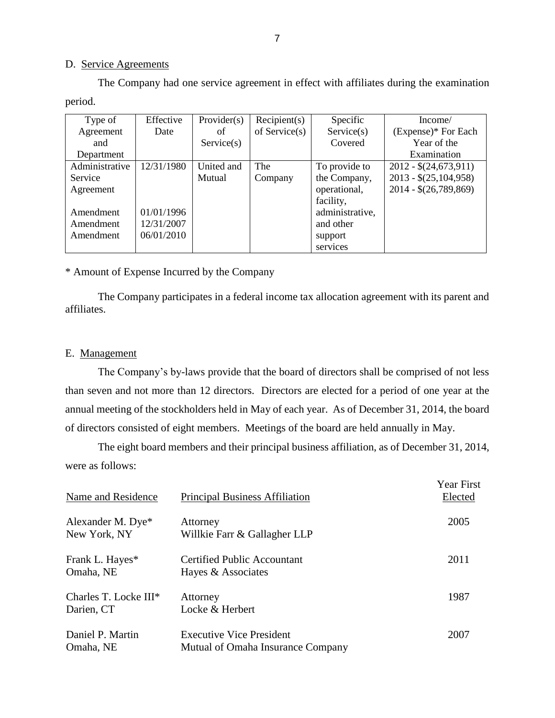#### D. Service Agreements

The Company had one service agreement in effect with affiliates during the examination period.

| Type of        | Effective  | Provider(s) | Recipient(s)     | Specific        | Income/                |
|----------------|------------|-------------|------------------|-----------------|------------------------|
| Agreement      | Date       | of          | of Service $(s)$ | Service(s)      | (Expense)* For Each    |
| and            |            | Service(s)  |                  | Covered         | Year of the            |
| Department     |            |             |                  |                 | Examination            |
| Administrative | 12/31/1980 | United and  | The              | To provide to   | $2012 - $(24,673,911)$ |
| Service        |            | Mutual      | Company          | the Company,    | $2013 - $(25,104,958)$ |
| Agreement      |            |             |                  | operational,    | $2014 - $(26,789,869)$ |
|                |            |             |                  | facility,       |                        |
| Amendment      | 01/01/1996 |             |                  | administrative, |                        |
| Amendment      | 12/31/2007 |             |                  | and other       |                        |
| Amendment      | 06/01/2010 |             |                  | support         |                        |
|                |            |             |                  | services        |                        |

\* Amount of Expense Incurred by the Company

 \* Amount of Expense Incurred by the Company The Company participates in a federal income tax allocation agreement with its parent and affiliates.

### E. Management

 The Company's by-laws provide that the board of directors shall be comprised of not less than seven and not more than 12 directors. Directors are elected for a period of one year at the annual meeting of the stockholders held in May of each year. As of December 31, 2014, the board of directors consisted of eight members. Meetings of the board are held annually in May.

 were as follows: The eight board members and their principal business affiliation, as of December 31, 2014,

| Name and Residence                  | <b>Principal Business Affiliation</b>                                | Year First<br>Elected |
|-------------------------------------|----------------------------------------------------------------------|-----------------------|
| Alexander M. Dye*<br>New York, NY   | Attorney<br>Willkie Farr & Gallagher LLP                             | 2005                  |
| Frank L. Hayes*<br>Omaha, NE        | Certified Public Accountant<br>Hayes & Associates                    | 2011                  |
| Charles T. Locke III*<br>Darien, CT | Attorney<br>Locke & Herbert                                          | 1987                  |
| Daniel P. Martin<br>Omaha, NE       | <b>Executive Vice President</b><br>Mutual of Omaha Insurance Company | 2007                  |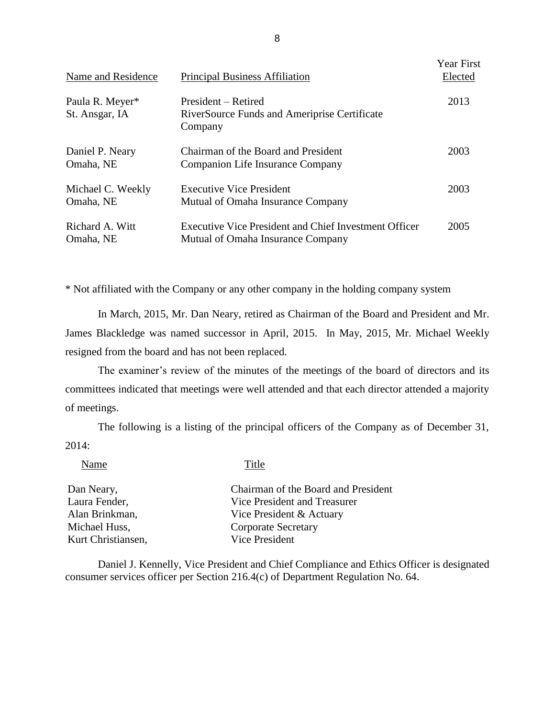| Name and Residence                | <b>Principal Business Affiliation</b>                                                      | <b>Year First</b><br>Elected |
|-----------------------------------|--------------------------------------------------------------------------------------------|------------------------------|
| Paula R. Meyer*<br>St. Ansgar, IA | President – Retired<br>RiverSource Funds and Ameriprise Certificate<br>Company             | 2013                         |
| Daniel P. Neary<br>Omaha, NE      | Chairman of the Board and President<br>Companion Life Insurance Company                    | 2003                         |
| Michael C. Weekly<br>Omaha, NE    | <b>Executive Vice President</b><br>Mutual of Omaha Insurance Company                       | 2003                         |
| Richard A. Witt<br>Omaha, NE      | Executive Vice President and Chief Investment Officer<br>Mutual of Omaha Insurance Company | 2005                         |

\* Not affiliated with the Company or any other company in the holding company system

 In March, 2015, Mr. Dan Neary, retired as Chairman of the Board and President and Mr. James Blackledge was named successor in April, 2015. In May, 2015, Mr. Michael Weekly resigned from the board and has not been replaced.

 committees indicated that meetings were well attended and that each director attended a majority The examiner's review of the minutes of the meetings of the board of directors and its of meetings.

The following is a listing of the principal officers of the Company as of December 31, 2014:

Name Title

| Dan Neary,         | Chairman of the Board and President |
|--------------------|-------------------------------------|
| Laura Fender,      | Vice President and Treasurer        |
| Alan Brinkman,     | Vice President & Actuary            |
| Michael Huss,      | Corporate Secretary                 |
| Kurt Christiansen, | Vice President                      |

 Daniel J. Kennelly, Vice President and Chief Compliance and Ethics Officer is designated consumer services officer per Section 216.4(c) of Department Regulation No. 64.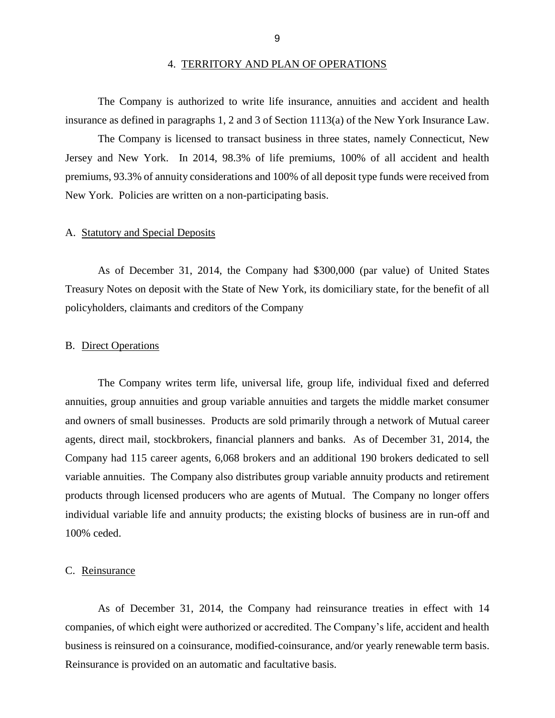#### 4. TERRITORY AND PLAN OF OPERATIONS

<span id="page-11-0"></span>The Company is authorized to write life insurance, annuities and accident and health insurance as defined in paragraphs 1, 2 and 3 of Section 1113(a) of the New York Insurance Law.

 The Company is licensed to transact business in three states, namely Connecticut, New Jersey and New York. In 2014, 98.3% of life premiums, 100% of all accident and health premiums, 93.3% of annuity considerations and 100% of all deposit type funds were received from New York. Policies are written on a non-participating basis.

#### A. Statutory and Special Deposits

 Treasury Notes on deposit with the State of New York, its domiciliary state, for the benefit of all As of December 31, 2014, the Company had \$300,000 (par value) of United States policyholders, claimants and creditors of the Company

#### B. Direct Operations

 and owners of small businesses. Products are sold primarily through a network of Mutual career variable annuities. The Company also distributes group variable annuity products and retirement products through licensed producers who are agents of Mutual. The Company no longer offers individual variable life and annuity products; the existing blocks of business are in run-off and The Company writes term life, universal life, group life, individual fixed and deferred annuities, group annuities and group variable annuities and targets the middle market consumer agents, direct mail, stockbrokers, financial planners and banks. As of December 31, 2014, the Company had 115 career agents, 6,068 brokers and an additional 190 brokers dedicated to sell 100% ceded.

#### C. Reinsurance

 As of December 31, 2014, the Company had reinsurance treaties in effect with 14 companies, of which eight were authorized or accredited. The Company's life, accident and health business is reinsured on a coinsurance, modified-coinsurance, and/or yearly renewable term basis. Reinsurance is provided on an automatic and facultative basis.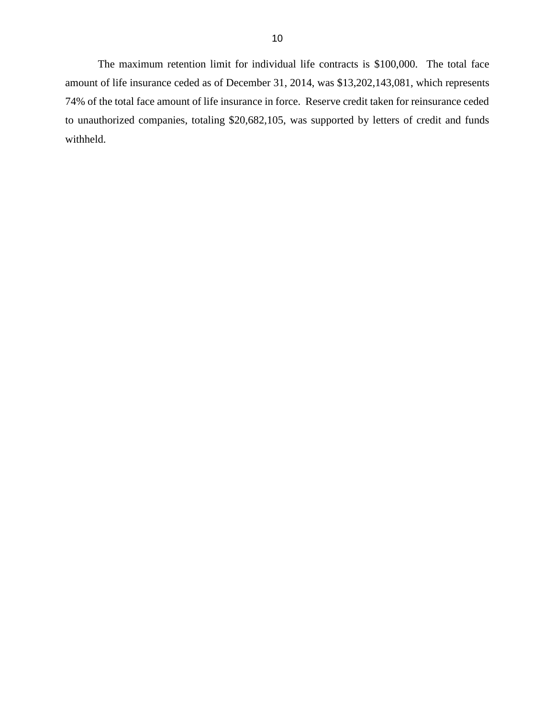amount of life insurance ceded as of December 31, 2014, was \$13,202,143,081, which represents 74% of the total face amount of life insurance in force. Reserve credit taken for reinsurance ceded to unauthorized companies, totaling \$20,682,105, was supported by letters of credit and funds The maximum retention limit for individual life contracts is \$100,000. The total face withheld.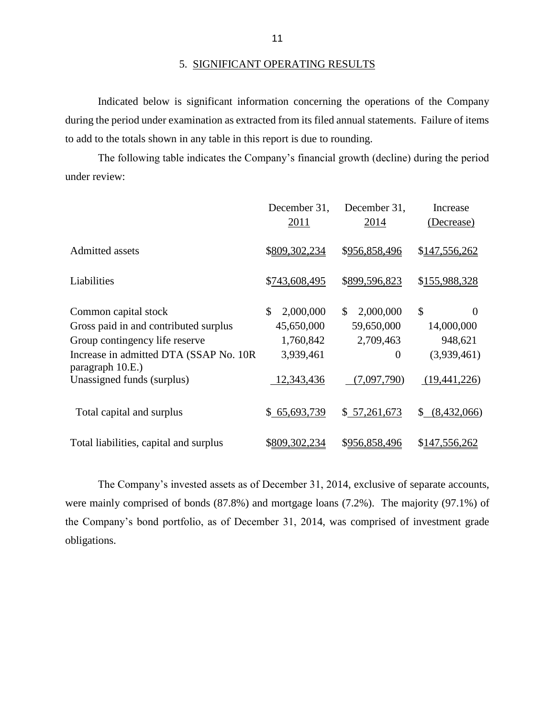during the period under examination as extracted from its filed annual statements. Failure of items to add to the totals shown in any table in this report is due to rounding. Indicated below is significant information concerning the operations of the Company

 The following table indicates the Company's financial growth (decline) during the period under review:

|                                                             | December 31,    | December 31,               | Increase                  |
|-------------------------------------------------------------|-----------------|----------------------------|---------------------------|
|                                                             | <u>2011</u>     | 2014                       | (Decrease)                |
| Admitted assets                                             | \$809,302,234   | \$956,858,496              | \$147,556,262             |
| Liabilities                                                 | \$743,608,495   | \$899,596,823              | \$155,988,328             |
| Common capital stock                                        | \$<br>2,000,000 | <sup>\$</sup><br>2,000,000 | $\mathcal{S}$<br>$\Omega$ |
| Gross paid in and contributed surplus                       | 45,650,000      | 59,650,000                 | 14,000,000                |
| Group contingency life reserve                              | 1,760,842       | 2,709,463                  | 948,621                   |
| Increase in admitted DTA (SSAP No. 10R)<br>paragraph 10.E.) | 3,939,461       | $\theta$                   | (3,939,461)               |
| Unassigned funds (surplus)                                  | 12,343,436      | (7,097,790)                | (19,441,226)              |
| Total capital and surplus                                   | \$65,693,739    | \$57,261,673               | \$ (8,432,066)            |
| Total liabilities, capital and surplus                      | \$809,302,234   | \$956,858,496              | \$147,556,262             |

 The Company's invested assets as of December 31, 2014, exclusive of separate accounts, were mainly comprised of bonds (87.8%) and mortgage loans (7.2%). The majority (97.1%) of the Company's bond portfolio, as of December 31, 2014, was comprised of investment grade obligations.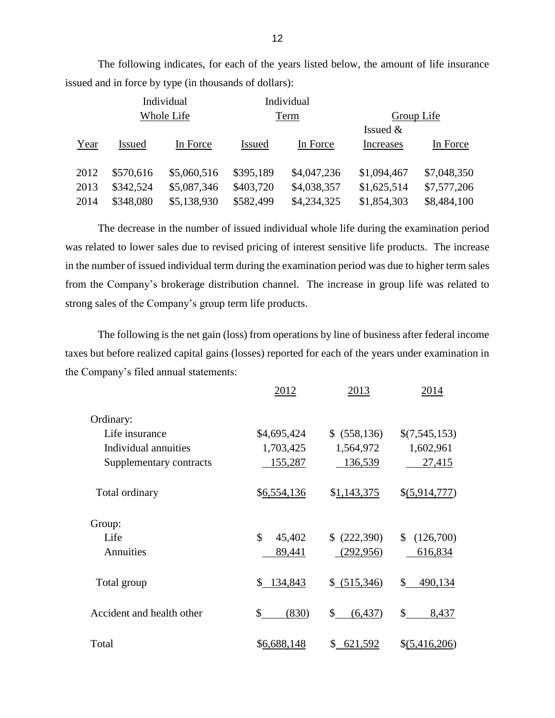|      |               | Individual  |               | Individual  |             |             |
|------|---------------|-------------|---------------|-------------|-------------|-------------|
|      | Whole Life    |             | Term          |             | Group Life  |             |
|      |               |             |               |             | Issued $&$  |             |
| Year | <b>Issued</b> | In Force    | <b>Issued</b> | In Force    | Increases   | In Force    |
| 2012 | \$570,616     | \$5,060,516 | \$395,189     | \$4,047,236 | \$1,094,467 | \$7,048,350 |
| 2013 | \$342,524     | \$5,087,346 | \$403,720     | \$4,038,357 | \$1,625,514 | \$7,577,206 |
| 2014 | \$348,080     | \$5,138,930 | \$582,499     | \$4,234,325 | \$1,854,303 | \$8,484,100 |

The following indicates, for each of the years listed below, the amount of life insurance issued and in force by type (in thousands of dollars):

 The decrease in the number of issued individual whole life during the examination period was related to lower sales due to revised pricing of interest sensitive life products. The increase from the Company's brokerage distribution channel. The increase in group life was related to in the number of issued individual term during the examination period was due to higher term sales strong sales of the Company's group term life products.

 The following is the net gain (loss) from operations by line of business after federal income taxes but before realized capital gains (losses) reported for each of the years under examination in the Company's filed annual statements:

|                           | 2012         | 2013           | 2014                      |
|---------------------------|--------------|----------------|---------------------------|
| Ordinary:                 |              |                |                           |
| Life insurance            | \$4,695,424  | \$ (558,136)   | \$(7,545,153)             |
| Individual annuities      | 1,703,425    | 1,564,972      | 1,602,961                 |
| Supplementary contracts   | 155,287      | 136,539        | 27,415                    |
| Total ordinary            | \$6,554,136  | \$1,143,375    | \$(5,914,777)             |
| Group:                    |              |                |                           |
| Life                      | \$<br>45,402 | (222,390)      | \$<br>(126,700)           |
| Annuities                 | 89,441       | (292, 956)     | 616,834                   |
| Total group               | \$134,843    | \$ (515,346)   | $\mathbb{S}^-$<br>490,134 |
| Accident and health other | \$<br>(830)  | \$<br>(6, 437) | \$<br>8,437               |
| Total                     | \$6,688,148  | \$<br>621,592  | \$(5,416,206)             |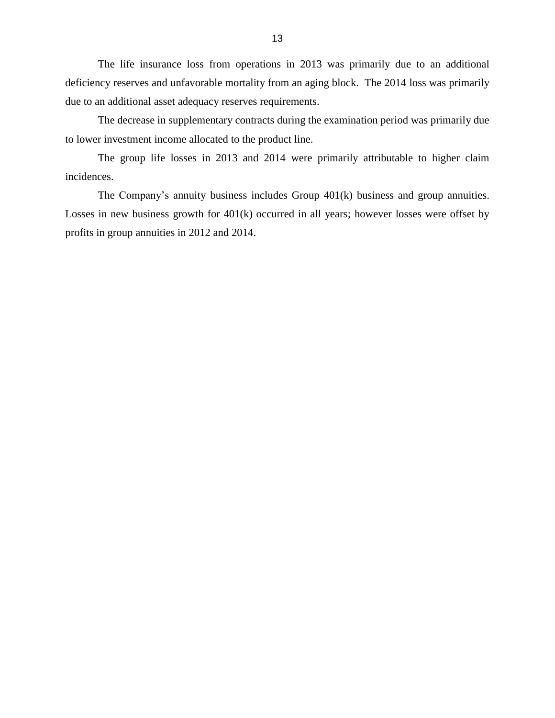The life insurance loss from operations in 2013 was primarily due to an additional deficiency reserves and unfavorable mortality from an aging block. The 2014 loss was primarily due to an additional asset adequacy reserves requirements.

 The decrease in supplementary contracts during the examination period was primarily due to lower investment income allocated to the product line.

 The group life losses in 2013 and 2014 were primarily attributable to higher claim incidences.

 The Company's annuity business includes Group 401(k) business and group annuities. Losses in new business growth for 401(k) occurred in all years; however losses were offset by profits in group annuities in 2012 and 2014.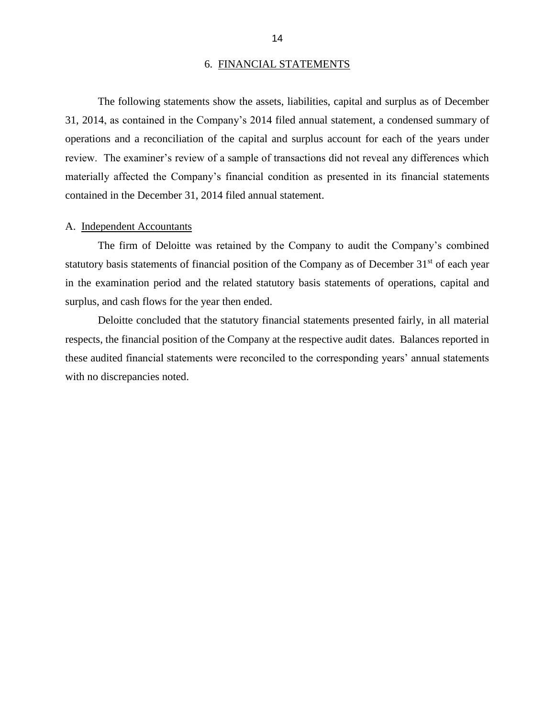#### 6. FINANCIAL STATEMENTS

<span id="page-16-0"></span> review. The examiner's review of a sample of transactions did not reveal any differences which The following statements show the assets, liabilities, capital and surplus as of December 31, 2014, as contained in the Company's 2014 filed annual statement, a condensed summary of operations and a reconciliation of the capital and surplus account for each of the years under materially affected the Company's financial condition as presented in its financial statements contained in the December 31, 2014 filed annual statement.

#### A. Independent Accountants

statutory basis statements of financial position of the Company as of December  $31<sup>st</sup>$  of each year in the examination period and the related statutory basis statements of operations, capital and The firm of Deloitte was retained by the Company to audit the Company's combined surplus, and cash flows for the year then ended.

 Deloitte concluded that the statutory financial statements presented fairly, in all material respects, the financial position of the Company at the respective audit dates. Balances reported in these audited financial statements were reconciled to the corresponding years' annual statements with no discrepancies noted.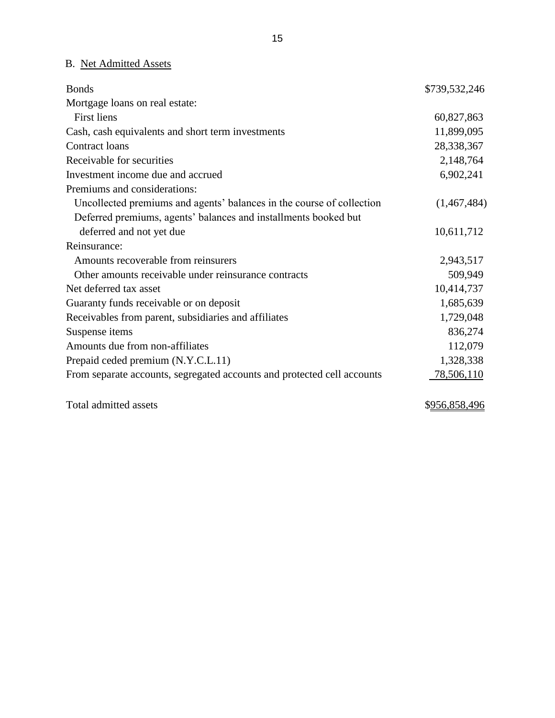# B. Net Admitted Assets

| <b>Bonds</b>                                                            | \$739,532,246 |
|-------------------------------------------------------------------------|---------------|
| Mortgage loans on real estate:                                          |               |
| <b>First liens</b>                                                      | 60,827,863    |
| Cash, cash equivalents and short term investments                       | 11,899,095    |
| Contract loans                                                          | 28,338,367    |
| Receivable for securities                                               | 2,148,764     |
| Investment income due and accrued                                       | 6,902,241     |
| Premiums and considerations:                                            |               |
| Uncollected premiums and agents' balances in the course of collection   | (1,467,484)   |
| Deferred premiums, agents' balances and installments booked but         |               |
| deferred and not yet due                                                | 10,611,712    |
| Reinsurance:                                                            |               |
| Amounts recoverable from reinsurers                                     | 2,943,517     |
| Other amounts receivable under reinsurance contracts                    | 509,949       |
| Net deferred tax asset                                                  | 10,414,737    |
| Guaranty funds receivable or on deposit                                 | 1,685,639     |
| Receivables from parent, subsidiaries and affiliates                    | 1,729,048     |
| Suspense items                                                          | 836,274       |
| Amounts due from non-affiliates                                         | 112,079       |
| Prepaid ceded premium (N.Y.C.L.11)                                      | 1,328,338     |
| From separate accounts, segregated accounts and protected cell accounts | 78,506,110    |

Total admitted assets \$956,858,496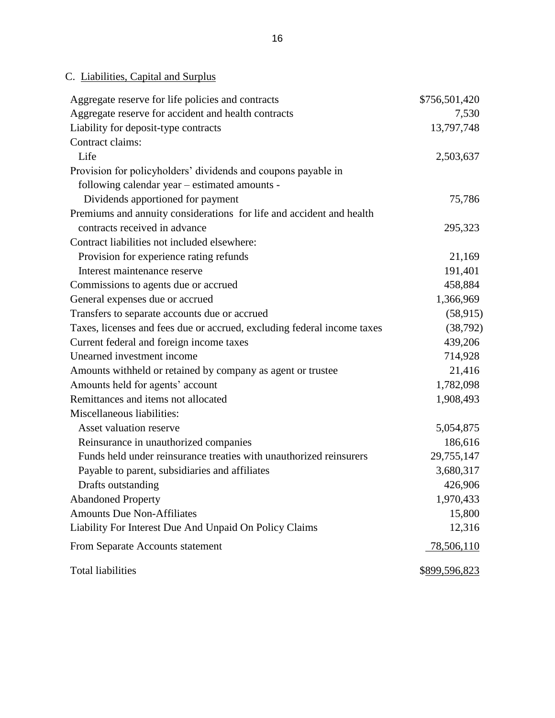| Aggregate reserve for life policies and contracts                       | \$756,501,420 |
|-------------------------------------------------------------------------|---------------|
| Aggregate reserve for accident and health contracts                     | 7,530         |
| Liability for deposit-type contracts                                    | 13,797,748    |
| Contract claims:                                                        |               |
| Life                                                                    | 2,503,637     |
| Provision for policyholders' dividends and coupons payable in           |               |
| following calendar year - estimated amounts -                           |               |
| Dividends apportioned for payment                                       | 75,786        |
| Premiums and annuity considerations for life and accident and health    |               |
| contracts received in advance                                           | 295,323       |
| Contract liabilities not included elsewhere:                            |               |
| Provision for experience rating refunds                                 | 21,169        |
| Interest maintenance reserve                                            | 191,401       |
| Commissions to agents due or accrued                                    | 458,884       |
| General expenses due or accrued                                         | 1,366,969     |
| Transfers to separate accounts due or accrued                           | (58, 915)     |
| Taxes, licenses and fees due or accrued, excluding federal income taxes | (38, 792)     |
| Current federal and foreign income taxes                                | 439,206       |
| Unearned investment income                                              | 714,928       |
| Amounts withheld or retained by company as agent or trustee             | 21,416        |
| Amounts held for agents' account                                        | 1,782,098     |
| Remittances and items not allocated                                     | 1,908,493     |
| Miscellaneous liabilities:                                              |               |
| Asset valuation reserve                                                 | 5,054,875     |
| Reinsurance in unauthorized companies                                   | 186,616       |
| Funds held under reinsurance treaties with unauthorized reinsurers      | 29,755,147    |
| Payable to parent, subsidiaries and affiliates                          | 3,680,317     |
| Drafts outstanding                                                      | 426,906       |
| <b>Abandoned Property</b>                                               | 1,970,433     |
| <b>Amounts Due Non-Affiliates</b>                                       | 15,800        |
| Liability For Interest Due And Unpaid On Policy Claims                  | 12,316        |
| From Separate Accounts statement                                        | 78,506,110    |
| <b>Total liabilities</b>                                                | \$899,596,823 |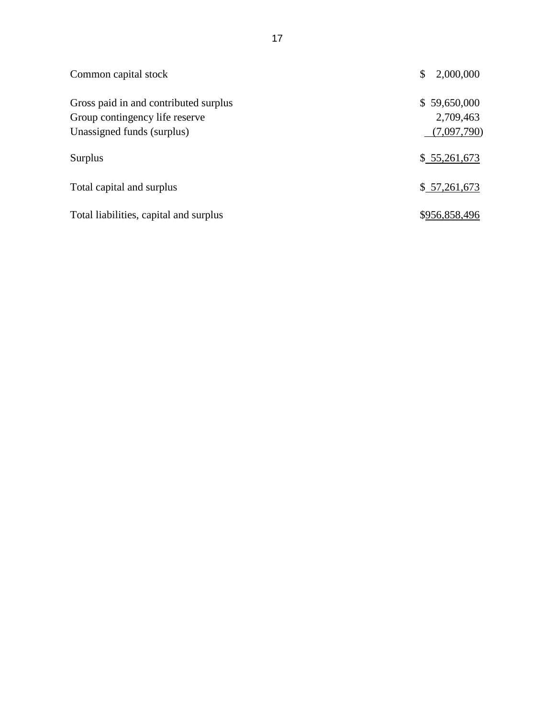| Common capital stock                                                                                  | \$<br>2,000,000                          |
|-------------------------------------------------------------------------------------------------------|------------------------------------------|
| Gross paid in and contributed surplus<br>Group contingency life reserve<br>Unassigned funds (surplus) | \$59,650,000<br>2,709,463<br>(7,097,790) |
| Surplus                                                                                               | \$55,261,673                             |
| Total capital and surplus                                                                             | \$57,261,673                             |
| Total liabilities, capital and surplus                                                                | \$956,858,496                            |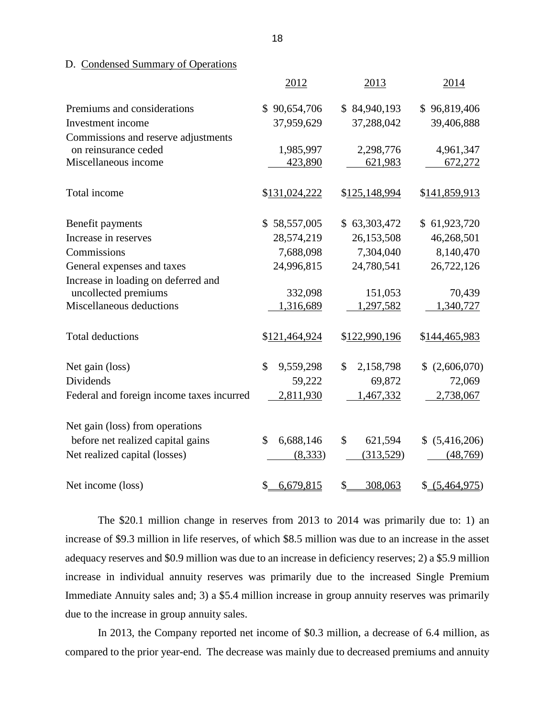### D. Condensed Summary of Operations

|                                           | 2012            | 2013            | 2014                          |
|-------------------------------------------|-----------------|-----------------|-------------------------------|
| Premiums and considerations               | \$90,654,706    | \$84,940,193    | \$96,819,406                  |
| Investment income                         | 37,959,629      | 37,288,042      | 39,406,888                    |
| Commissions and reserve adjustments       |                 |                 |                               |
| on reinsurance ceded                      | 1,985,997       | 2,298,776       | 4,961,347                     |
| Miscellaneous income                      | 423,890         | 621,983         | 672,272                       |
| Total income                              | \$131,024,222   | \$125,148,994   | \$141,859,913                 |
| Benefit payments                          | \$58,557,005    | \$63,303,472    | \$61,923,720                  |
| Increase in reserves                      | 28,574,219      | 26,153,508      | 46,268,501                    |
| Commissions                               | 7,688,098       | 7,304,040       | 8,140,470                     |
| General expenses and taxes                | 24,996,815      | 24,780,541      | 26,722,126                    |
| Increase in loading on deferred and       |                 |                 |                               |
| uncollected premiums                      | 332,098         | 151,053         | 70,439                        |
| Miscellaneous deductions                  | 1,316,689       | 1,297,582       | 1,340,727                     |
| <b>Total deductions</b>                   | \$121,464,924   | \$122,990,196   | \$144,465,983                 |
| Net gain (loss)                           | \$<br>9,559,298 | \$<br>2,158,798 | (2,606,070)<br>$\mathbb{S}^-$ |
| Dividends                                 | 59,222          | 69,872          | 72,069                        |
| Federal and foreign income taxes incurred | 2,811,930       | 1,467,332       | 2,738,067                     |
| Net gain (loss) from operations           |                 |                 |                               |
| before net realized capital gains         | \$<br>6,688,146 | \$<br>621,594   | \$ (5,416,206)                |
| Net realized capital (losses)             | (8,333)         | (313,529)       | (48,769)                      |
| Net income (loss)                         | 6,679,815<br>\$ | \$<br>308,063   | \$ (5,464,975)                |

 The \$20.1 million change in reserves from 2013 to 2014 was primarily due to: 1) an increase of \$9.3 million in life reserves, of which \$8.5 million was due to an increase in the asset adequacy reserves and \$0.9 million was due to an increase in deficiency reserves; 2) a \$5.9 million increase in individual annuity reserves was primarily due to the increased Single Premium Immediate Annuity sales and; 3) a \$5.4 million increase in group annuity reserves was primarily due to the increase in group annuity sales.

 In 2013, the Company reported net income of \$0.3 million, a decrease of 6.4 million, as compared to the prior year-end. The decrease was mainly due to decreased premiums and annuity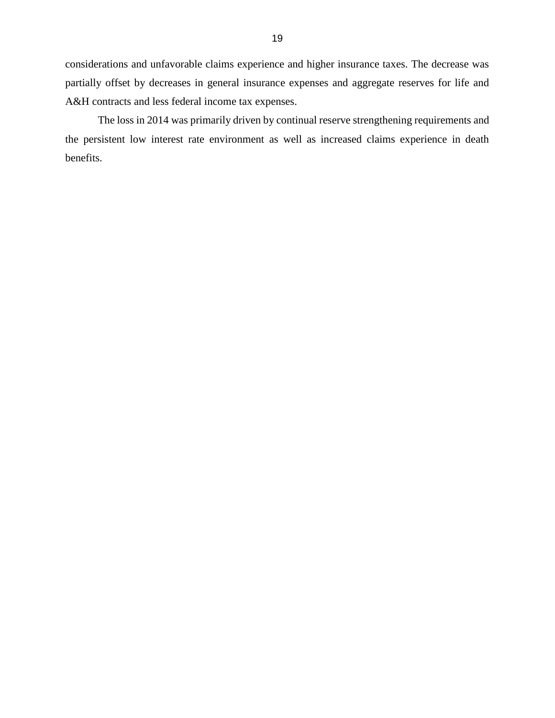considerations and unfavorable claims experience and higher insurance taxes. The decrease was partially offset by decreases in general insurance expenses and aggregate reserves for life and A&H contracts and less federal income tax expenses.

 The loss in 2014 was primarily driven by continual reserve strengthening requirements and the persistent low interest rate environment as well as increased claims experience in death benefits.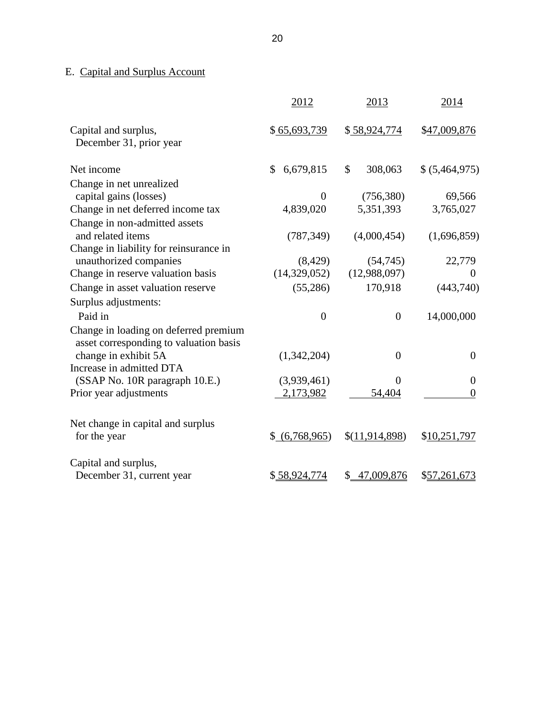# E. Capital and Surplus Account

|                                                                                 | 2012            | 2013                     | 2014             |
|---------------------------------------------------------------------------------|-----------------|--------------------------|------------------|
| Capital and surplus,<br>December 31, prior year                                 | \$65,693,739    | \$58,924,774             | \$47,009,876     |
| Net income                                                                      | 6,679,815<br>\$ | $\mathcal{S}$<br>308,063 | \$ (5,464,975)   |
| Change in net unrealized                                                        |                 |                          |                  |
| capital gains (losses)                                                          | $\theta$        | (756, 380)               | 69,566           |
| Change in net deferred income tax                                               | 4,839,020       | 5,351,393                | 3,765,027        |
| Change in non-admitted assets                                                   |                 |                          |                  |
| and related items                                                               | (787, 349)      | (4,000,454)              | (1,696,859)      |
| Change in liability for reinsurance in                                          |                 |                          |                  |
| unauthorized companies                                                          | (8, 429)        | (54,745)                 | 22,779           |
| Change in reserve valuation basis                                               | (14,329,052)    | (12,988,097)             | $\boldsymbol{0}$ |
| Change in asset valuation reserve                                               | (55,286)        | 170,918                  | (443,740)        |
| Surplus adjustments:                                                            |                 |                          |                  |
| Paid in                                                                         | $\overline{0}$  | $\overline{0}$           | 14,000,000       |
| Change in loading on deferred premium<br>asset corresponding to valuation basis |                 |                          |                  |
| change in exhibit 5A                                                            | (1,342,204)     | $\overline{0}$           | $\boldsymbol{0}$ |
| Increase in admitted DTA                                                        |                 |                          |                  |
| (SSAP No. 10R paragraph 10.E.)                                                  | (3,939,461)     | $\Omega$                 | $\boldsymbol{0}$ |
| Prior year adjustments                                                          | 2,173,982       | 54,404                   | $\overline{0}$   |
| Net change in capital and surplus<br>for the year                               | \$ (6,768,965)  | \$(11,914,898)           | \$10,251,797     |
|                                                                                 |                 |                          |                  |
| Capital and surplus,                                                            |                 |                          |                  |
| December 31, current year                                                       | \$58,924,774    | \$47,009,876             | \$57,261,673     |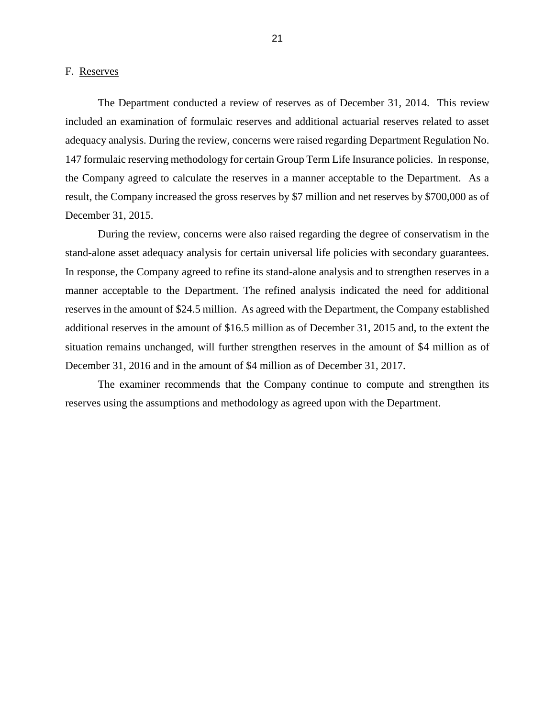#### <span id="page-23-0"></span>F. Reserves

 The Department conducted a review of reserves as of December 31, 2014. This review adequacy analysis. During the review, concerns were raised regarding Department Regulation No. 147 formulaic reserving methodology for certain Group Term Life Insurance policies. In response, the Company agreed to calculate the reserves in a manner acceptable to the Department. As a included an examination of formulaic reserves and additional actuarial reserves related to asset result, the Company increased the gross reserves by \$7 million and net reserves by \$700,000 as of December 31, 2015.

 During the review, concerns were also raised regarding the degree of conservatism in the stand-alone asset adequacy analysis for certain universal life policies with secondary guarantees. reserves in the amount of \$24.5 million. As agreed with the Department, the Company established additional reserves in the amount of \$16.5 million as of December 31, 2015 and, to the extent the situation remains unchanged, will further strengthen reserves in the amount of \$4 million as of December 31, 2016 and in the amount of \$4 million as of December 31, 2017. In response, the Company agreed to refine its stand-alone analysis and to strengthen reserves in a manner acceptable to the Department. The refined analysis indicated the need for additional

 The examiner recommends that the Company continue to compute and strengthen its reserves using the assumptions and methodology as agreed upon with the Department.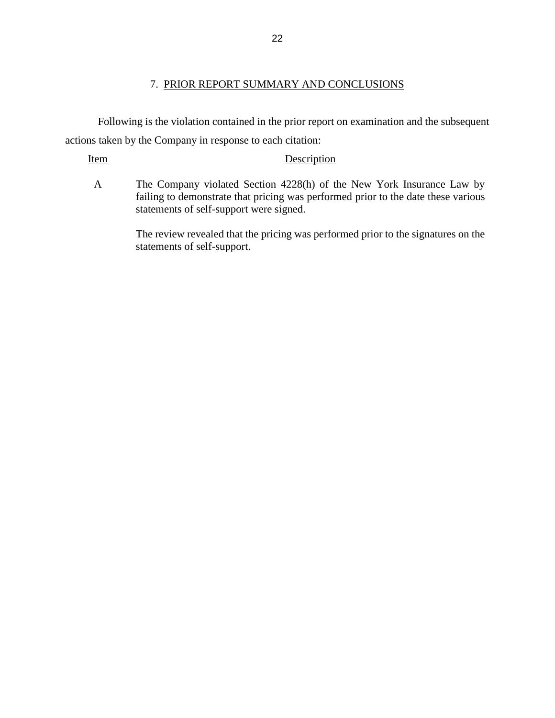## 7. PRIOR REPORT SUMMARY AND CONCLUSIONS

 Following is the violation contained in the prior report on examination and the subsequent actions taken by the Company in response to each citation:

### Item Description

 A The Company violated Section 4228(h) of the New York Insurance Law by failing to demonstrate that pricing was performed prior to the date these various statements of self-support were signed.

> The review revealed that the pricing was performed prior to the signatures on the statements of self-support.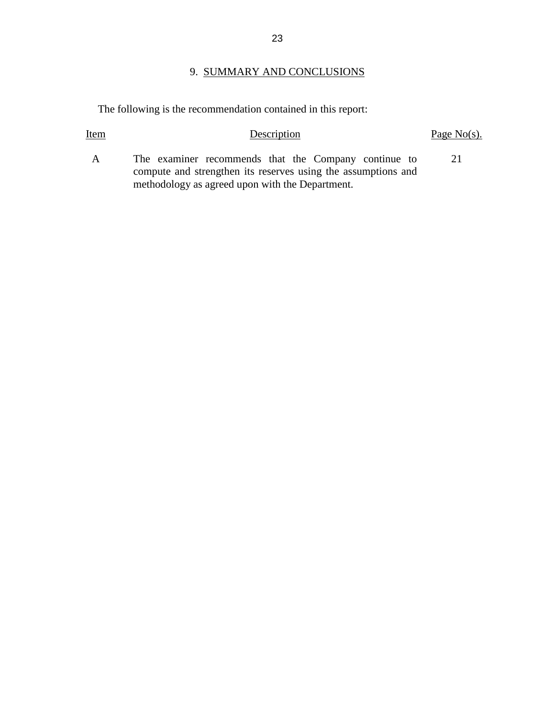# 9. SUMMARY AND CONCLUSIONS

The following is the recommendation contained in this report:

| Item         | Description                                                                                                           | Page $No(s)$ . |
|--------------|-----------------------------------------------------------------------------------------------------------------------|----------------|
| $\mathbf{A}$ | The examiner recommends that the Company continue to<br>compute and strengthen its reserves using the assumptions and | 21             |
|              | methodology as agreed upon with the Department.                                                                       |                |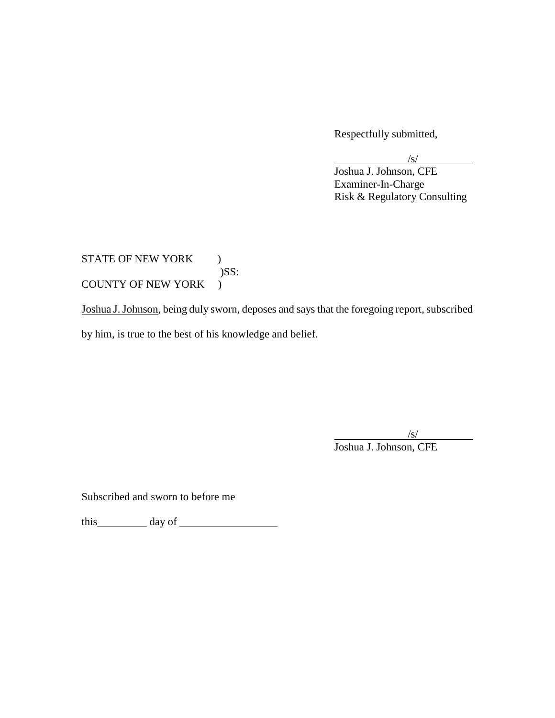Respectfully submitted,

l

 $\sqrt{s/}$ 

Joshua J. Johnson, CFE Examiner-In-Charge Risk & Regulatory Consulting

 $\mathcal{L}$ STATE OF NEW YORK ) )SS: COUNTY OF NEW YORK )

Joshua J. Johnson, being duly sworn, deposes and says that the foregoing report, subscribed

by him, is true to the best of his knowledge and belief.

l  $\sqrt{s}$ / Joshua J. Johnson, CFE

Subscribed and sworn to before me

this day of